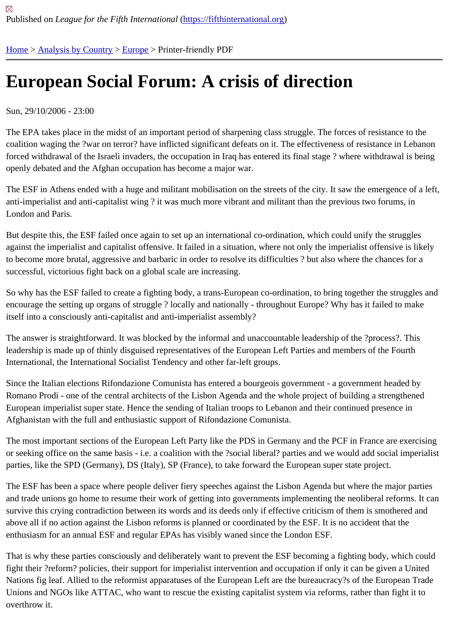## [Eu](https://fifthinternational.org/)r[opean Soc](https://fifthinternational.org/category/1)[ial F](https://fifthinternational.org/category/1/128)orum: A crisis of direction

Sun, 29/10/2006 - 23:00

The EPA takes place in the midst of an important period of sharpening class struggle. The forces of resistance to t coalition waging the ?war on terror? have inflicted significant defeats on it. The effectiveness of resistance in Leba forced withdrawal of the Israeli invaders, the occupation in Iraq has entered its final stage? where withdrawal is be openly debated and the Afghan occupation has become a major war.

The ESF in Athens ended with a huge and militant mobilisation on the streets of the city. It saw the emergence of a anti-imperialist and anti-capitalist wing ? it was much more vibrant and militant than the previous two forums, in London and Paris.

But despite this, the ESF failed once again to set up an international co-ordination, which could unify the struggles against the imperialist and capitalist offensive. It failed in a situation, where not only the imperialist offensive is like to become more brutal, aggressive and barbaric in order to resolve its difficulties ? but also where the chances for a successful, victorious fight back on a global scale are increasing.

So why has the ESF failed to create a fighting body, a trans-European co-ordination, to bring together the struggle encourage the setting up organs of struggle ? locally and nationally - throughout Europe? Why has it failed to make itself into a consciously anti-capitalist and anti-imperialist assembly?

The answer is straightforward. It was blocked by the informal and unaccountable leadership of the ?process?. This leadership is made up of thinly disguised representatives of the European Left Parties and members of the Fourth International, the International Socialist Tendency and other far-left groups.

Since the Italian elections Rifondazione Comunista has entered a bourgeois government - a government headed b Romano Prodi - one of the central architects of the Lisbon Agenda and the whole project of building a strengthene European imperialist super state. Hence the sending of Italian troops to Lebanon and their continued presence in Afghanistan with the full and enthusiastic support of Rifondazione Comunista.

The most important sections of the European Left Party like the PDS in Germany and the PCF in France are exerc or seeking office on the same basis - i.e. a coalition with the ?social liberal? parties and we would add social imper parties, like the SPD (Germany), DS (Italy), SP (France), to take forward the European super state project.

The ESF has been a space where people deliver fiery speeches against the Lisbon Agenda but where the major parties and trade unions go home to resume their work of getting into governments implementing the neoliberal reforms. I survive this crying contradiction between its words and its deeds only if effective criticism of them is smothered and above all if no action against the Lisbon reforms is planned or coordinated by the ESF. It is no accident that the enthusiasm for an annual ESF and regular EPAs has visibly waned since the London ESF.

That is why these parties consciously and deliberately want to prevent the ESF becoming a fighting body, which co fight their ?reform? policies, their support for imperialist intervention and occupation if only it can be given a United Nations fig leaf. Allied to the reformist apparatuses of the European Left are the bureaucracy?s of the European T Unions and NGOs like ATTAC, who want to rescue the existing capitalist system via reforms, rather than fight it to overthrow it.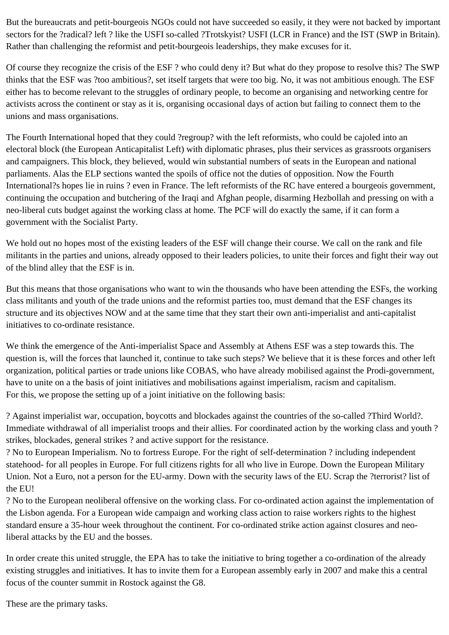But the bureaucrats and petit-bourgeois NGOs could not have succeeded so easily, it they were not backed by important sectors for the ?radical? left ? like the USFI so-called ?Trotskyist? USFI (LCR in France) and the IST (SWP in Britain). Rather than challenging the reformist and petit-bourgeois leaderships, they make excuses for it.

Of course they recognize the crisis of the ESF ? who could deny it? But what do they propose to resolve this? The SWP thinks that the ESF was ?too ambitious?, set itself targets that were too big. No, it was not ambitious enough. The ESF either has to become relevant to the struggles of ordinary people, to become an organising and networking centre for activists across the continent or stay as it is, organising occasional days of action but failing to connect them to the unions and mass organisations.

The Fourth International hoped that they could ?regroup? with the left reformists, who could be cajoled into an electoral block (the European Anticapitalist Left) with diplomatic phrases, plus their services as grassroots organisers and campaigners. This block, they believed, would win substantial numbers of seats in the European and national parliaments. Alas the ELP sections wanted the spoils of office not the duties of opposition. Now the Fourth International?s hopes lie in ruins ? even in France. The left reformists of the RC have entered a bourgeois government, continuing the occupation and butchering of the Iraqi and Afghan people, disarming Hezbollah and pressing on with a neo-liberal cuts budget against the working class at home. The PCF will do exactly the same, if it can form a government with the Socialist Party.

We hold out no hopes most of the existing leaders of the ESF will change their course. We call on the rank and file militants in the parties and unions, already opposed to their leaders policies, to unite their forces and fight their way out of the blind alley that the ESF is in.

But this means that those organisations who want to win the thousands who have been attending the ESFs, the working class militants and youth of the trade unions and the reformist parties too, must demand that the ESF changes its structure and its objectives NOW and at the same time that they start their own anti-imperialist and anti-capitalist initiatives to co-ordinate resistance.

We think the emergence of the Anti-imperialist Space and Assembly at Athens ESF was a step towards this. The question is, will the forces that launched it, continue to take such steps? We believe that it is these forces and other left organization, political parties or trade unions like COBAS, who have already mobilised against the Prodi-government, have to unite on a the basis of joint initiatives and mobilisations against imperialism, racism and capitalism. For this, we propose the setting up of a joint initiative on the following basis:

? Against imperialist war, occupation, boycotts and blockades against the countries of the so-called ?Third World?. Immediate withdrawal of all imperialist troops and their allies. For coordinated action by the working class and youth ? strikes, blockades, general strikes ? and active support for the resistance.

? No to European Imperialism. No to fortress Europe. For the right of self-determination ? including independent statehood- for all peoples in Europe. For full citizens rights for all who live in Europe. Down the European Military Union. Not a Euro, not a person for the EU-army. Down with the security laws of the EU. Scrap the ?terrorist? list of the EU!

? No to the European neoliberal offensive on the working class. For co-ordinated action against the implementation of the Lisbon agenda. For a European wide campaign and working class action to raise workers rights to the highest standard ensure a 35-hour week throughout the continent. For co-ordinated strike action against closures and neoliberal attacks by the EU and the bosses.

In order create this united struggle, the EPA has to take the initiative to bring together a co-ordination of the already existing struggles and initiatives. It has to invite them for a European assembly early in 2007 and make this a central focus of the counter summit in Rostock against the G8.

These are the primary tasks.